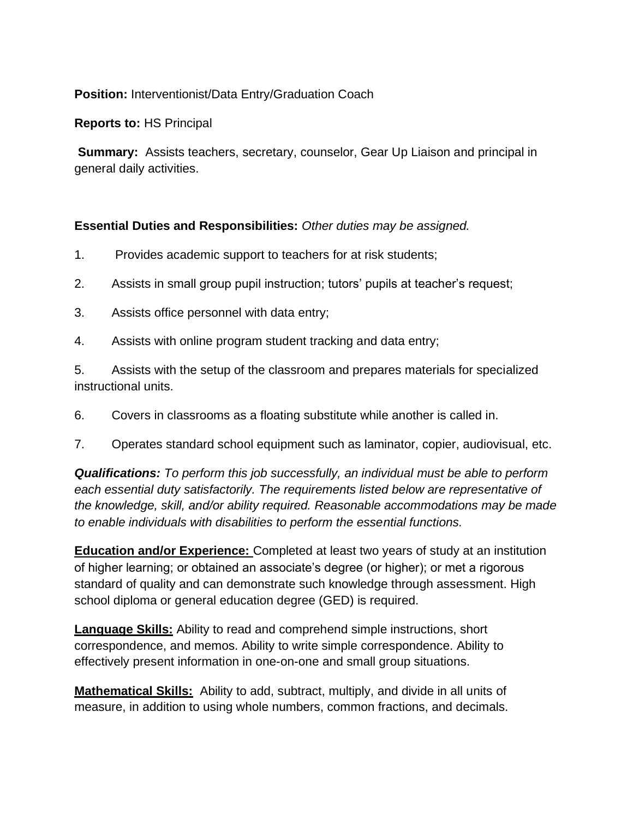## **Position:** Interventionist/Data Entry/Graduation Coach

**Reports to:** HS Principal

**Summary:** Assists teachers, secretary, counselor, Gear Up Liaison and principal in general daily activities.

## **Essential Duties and Responsibilities:** *Other duties may be assigned.*

- 1. Provides academic support to teachers for at risk students;
- 2. Assists in small group pupil instruction; tutors' pupils at teacher's request;
- 3. Assists office personnel with data entry;
- 4. Assists with online program student tracking and data entry;

5. Assists with the setup of the classroom and prepares materials for specialized instructional units.

- 6. Covers in classrooms as a floating substitute while another is called in.
- 7. Operates standard school equipment such as laminator, copier, audiovisual, etc.

*Qualifications: To perform this job successfully, an individual must be able to perform each essential duty satisfactorily. The requirements listed below are representative of the knowledge, skill, and/or ability required. Reasonable accommodations may be made to enable individuals with disabilities to perform the essential functions.* 

**Education and/or Experience:** Completed at least two years of study at an institution of higher learning; or obtained an associate's degree (or higher); or met a rigorous standard of quality and can demonstrate such knowledge through assessment. High school diploma or general education degree (GED) is required.

**Language Skills:** Ability to read and comprehend simple instructions, short correspondence, and memos. Ability to write simple correspondence. Ability to effectively present information in one-on-one and small group situations.

**Mathematical Skills:** Ability to add, subtract, multiply, and divide in all units of measure, in addition to using whole numbers, common fractions, and decimals.